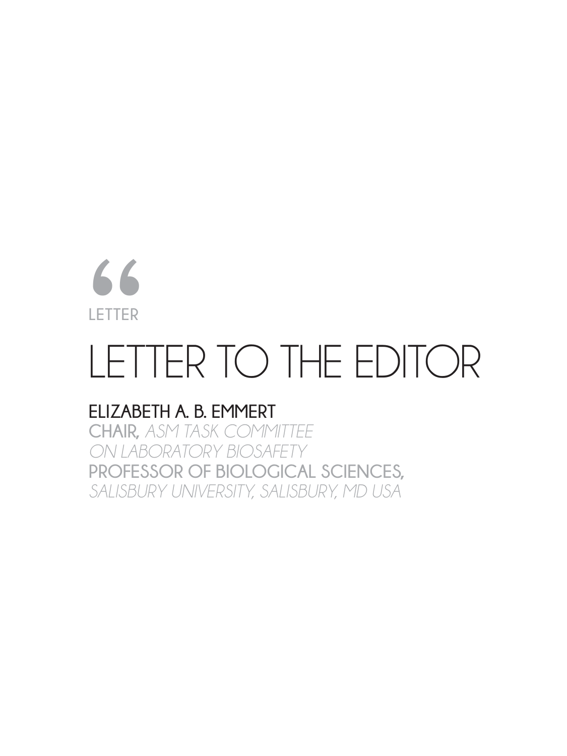# **LETTER** 66<br>LETTER<br>ELIZABI

## LETTER TO THE EDITOR

#### **ELIZABETH A. B. EMMERT**

**CHAIR,** *ASM TASK COMMITTEE ON LABORATORY BIOSAFETY* **PROFESSOR OF BIOLOGICAL SCIENCES,**  *SALISBURY UNIVERSITY, SALISBURY, MD USA*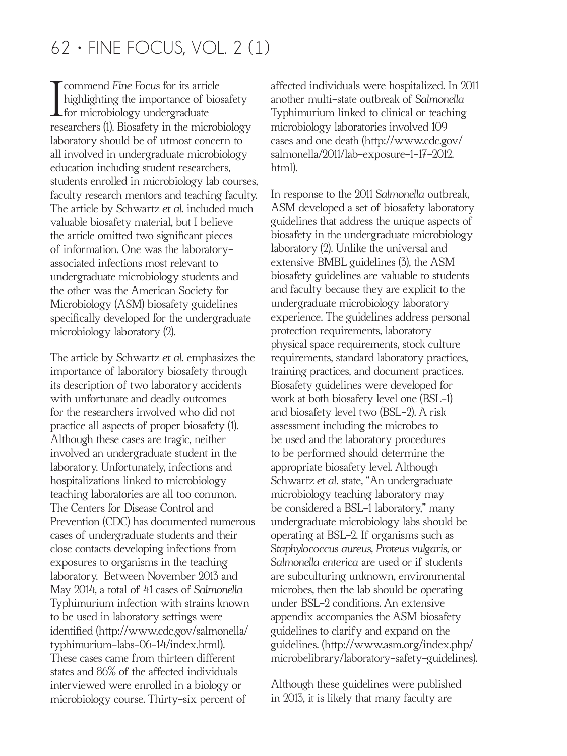#### $62 \cdot$  FINE FOCUS, VOL. 2 (1)

I commend *Fine Focus* for its article<br>highlighting the importance of bios<br>for microbiology undergraduate highlighting the importance of biosafety  $\blacktriangle$  for microbiology undergraduate researchers (1). Biosafety in the microbiology laboratory should be of utmost concern to all involved in undergraduate microbiology education including student researchers, students enrolled in microbiology lab courses, faculty research mentors and teaching faculty. The article by Schwartz *et al.* included much valuable biosafety material, but I believe the article omitted two signifcant pieces of information. One was the laboratoryassociated infections most relevant to undergraduate microbiology students and the other was the American Society for Microbiology (ASM) biosafety guidelines specifcally developed for the undergraduate microbiology laboratory (2).

The article by Schwartz *et al.* emphasizes the importance of laboratory biosafety through its description of two laboratory accidents with unfortunate and deadly outcomes for the researchers involved who did not practice all aspects of proper biosafety (1). Although these cases are tragic, neither involved an undergraduate student in the laboratory. Unfortunately, infections and hospitalizations linked to microbiology teaching laboratories are all too common. The Centers for Disease Control and Prevention (CDC) has documented numerous cases of undergraduate students and their close contacts developing infections from exposures to organisms in the teaching laboratory. Between November 2013 and May 2014, a total of 41 cases of *Salmonella*  Typhimurium infection with strains known to be used in laboratory settings were identifed (http://www.cdc.gov/salmonella/ typhimurium-labs-06-14/index.html). These cases came from thirteen different states and 86% of the affected individuals interviewed were enrolled in a biology or microbiology course. Thirty-six percent of

affected individuals were hospitalized. In 2011 another multi-state outbreak of *Salmonella*  Typhimurium linked to clinical or teaching microbiology laboratories involved 109 cases and one death (http://www.cdc.gov/ salmonella/2011/lab-exposure-1-17-2012. html).

In response to the 2011 *Salmonella* outbreak, ASM developed a set of biosafety laboratory guidelines that address the unique aspects of biosafety in the undergraduate microbiology laboratory (2). Unlike the universal and extensive BMBL guidelines (3), the ASM biosafety guidelines are valuable to students and faculty because they are explicit to the undergraduate microbiology laboratory experience. The guidelines address personal protection requirements, laboratory physical space requirements, stock culture requirements, standard laboratory practices, training practices, and document practices. Biosafety guidelines were developed for work at both biosafety level one (BSL-1) and biosafety level two (BSL-2). A risk assessment including the microbes to be used and the laboratory procedures to be performed should determine the appropriate biosafety level. Although Schwartz *et al.* state, "An undergraduate microbiology teaching laboratory may be considered a BSL-1 laboratory," many undergraduate microbiology labs should be operating at BSL-2. If organisms such as *Staphylococcus aureus, Proteus vulgaris,* or *Salmonella enterica* are used or if students are subculturing unknown, environmental microbes, then the lab should be operating under BSL-2 conditions. An extensive appendix accompanies the ASM biosafety guidelines to clarify and expand on the guidelines. (http://www.asm.org/index.php/ microbelibrary/laboratory-safety-guidelines).

Although these guidelines were published in 2013, it is likely that many faculty are